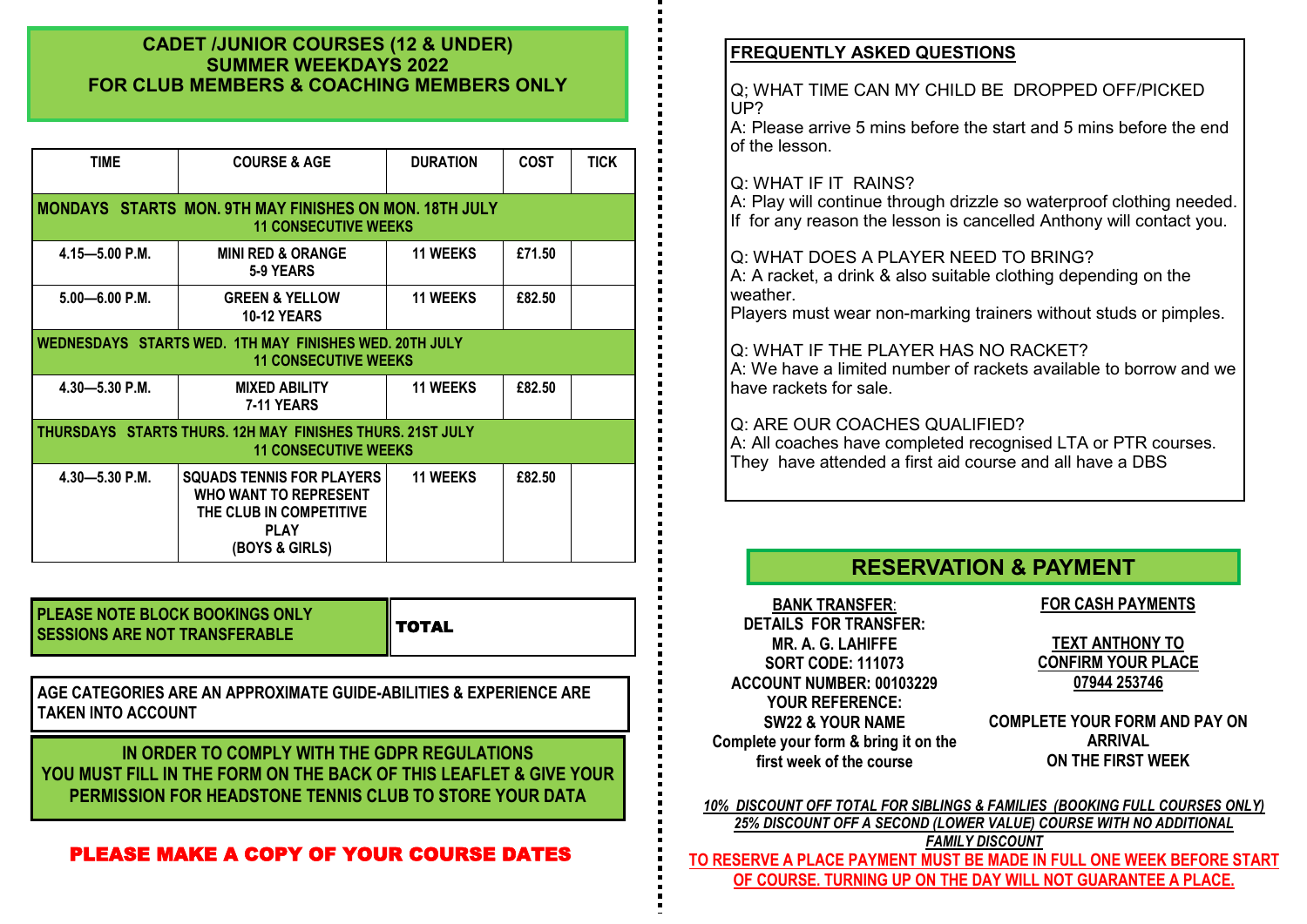# **CADET /JUNIOR COURSES (12 & UNDER) SUMMER WEEKDAYS 2022 FOR CLUB MEMBERS & COACHING MEMBERS ONLY**

| <b>TIME</b>                                                                                  | <b>COURSE &amp; AGE</b>                                                                                                      | <b>DURATION</b> | <b>COST</b> | <b>TICK</b> |
|----------------------------------------------------------------------------------------------|------------------------------------------------------------------------------------------------------------------------------|-----------------|-------------|-------------|
|                                                                                              | <b>MONDAYS STARTS MON. 9TH MAY FINISHES ON MON. 18TH JULY</b><br><b>11 CONSECUTIVE WEEKS</b>                                 |                 |             |             |
| $4.15 - 5.00$ P.M.                                                                           | <b>MINI RED &amp; ORANGE</b><br>5-9 YEARS                                                                                    | <b>11 WEEKS</b> | £71.50      |             |
| $5.00 - 6.00$ P.M.                                                                           | <b>GREEN &amp; YELLOW</b><br><b>10-12 YEARS</b>                                                                              | <b>11 WEEKS</b> | £82.50      |             |
| <b>WEDNESDAYS STARTS WED. 1TH MAY FINISHES WED. 20TH JULY</b><br><b>11 CONSECUTIVE WEEKS</b> |                                                                                                                              |                 |             |             |
| $4.30 - 5.30$ P.M.                                                                           | <b>11 WEEKS</b><br><b>MIXED ABILITY</b><br><b>7-11 YEARS</b>                                                                 |                 | £82.50      |             |
|                                                                                              | THURSDAYS STARTS THURS, 12H MAY FINISHES THURS, 21ST JULY<br><b>11 CONSECUTIVE WEEKS</b>                                     |                 |             |             |
| $4.30 - 5.30$ P.M.                                                                           | <b>SQUADS TENNIS FOR PLAYERS</b><br><b>WHO WANT TO REPRESENT</b><br>THE CLUB IN COMPETITIVE<br><b>PLAY</b><br>(BOYS & GIRLS) | <b>11 WEEKS</b> | £82.50      |             |

| <b>PLEASE NOTE BLOCK BOOKINGS ONLY</b><br><b>SESSIONS ARE NOT TRANSFERABLE</b> | <b>I</b> I TOTAL |
|--------------------------------------------------------------------------------|------------------|
|--------------------------------------------------------------------------------|------------------|

**AGE CATEGORIES ARE AN APPROXIMATE GUIDE-ABILITIES & EXPERIENCE ARE TAKEN INTO ACCOUNT** 

IN ORDER TO COMPLY WITH THE GDPR REGULATIONS<br> **Exterior first week** of the course of the course on THE FIRST WEEK **YOU MUST FILL IN THE FORM ON THE BACK OF THIS LEAFLET & GIVE YOUR PERMISSION FOR HEADSTONE TENNIS CLUB TO STORE YOUR DATA**

# PLEASE MAKE A COPY OF YOUR COURSE DATES

# **FREQUENTLY ASKED QUESTIONS**

Q; WHAT TIME CAN MY CHILD BE DROPPED OFF/PICKED UP?

A: Please arrive 5 mins before the start and 5 mins before the end of the lesson.

# Q: WHAT IF IT RAINS?

A: Play will continue through drizzle so waterproof clothing needed. If for any reason the lesson is cancelled Anthony will contact you.

# Q: WHAT DOES A PLAYER NEED TO BRING?

A: A racket, a drink & also suitable clothing depending on the weather.

Players must wear non-marking trainers without studs or pimples.

### Q: WHAT IF THE PLAYER HAS NO RACKET?

A: We have a limited number of rackets available to borrow and we have rackets for sale.

# Q: ARE OUR COACHES QUALIFIED?

A: All coaches have completed recognised LTA or PTR courses. They have attended a first aid course and all have a DBS

# **RESERVATION & PAYMENT**

**BANK TRANSFER**: **DETAILS FOR TRANSFER: MR. A. G. LAHIFFE SORT CODE: 111073 ACCOUNT NUMBER: 00103229 YOUR REFERENCE: SW22 & YOUR NAME Complete your form & bring it on the first week of the course**

# **FOR CASH PAYMENTS**

**TEXT ANTHONY TO CONFIRM YOUR PLACE 07944 253746**

**COMPLETE YOUR FORM AND PAY ON ARRIVAL** 

*10% DISCOUNT OFF TOTAL FOR SIBLINGS & FAMILIES (BOOKING FULL COURSES ONLY) 25% DISCOUNT OFF A SECOND (LOWER VALUE) COURSE WITH NO ADDITIONAL FAMILY DISCOUNT*  **TO RESERVE A PLACE PAYMENT MUST BE MADE IN FULL ONE WEEK BEFORE START OF COURSE. TURNING UP ON THE DAY WILL NOT GUARANTEE A PLACE.**